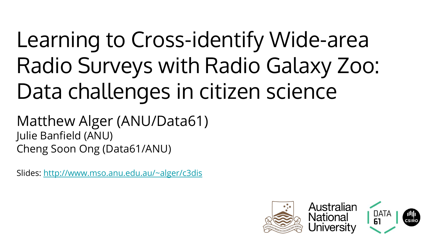# Learning to Cross-identify Wide-area Radio Surveys with Radio Galaxy Zoo: Data challenges in citizen science

Matthew Alger (ANU/Data61) Julie Banfield (ANU) Cheng Soon Ong (Data61/ANU)

Slides:<http://www.mso.anu.edu.au/~alger/c3dis>

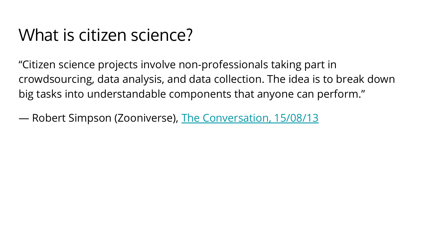#### What is citizen science?

"Citizen science projects involve non-professionals taking part in crowdsourcing, data analysis, and data collection. The idea is to break down big tasks into understandable components that anyone can perform."

— Robert Simpson (Zooniverse), [The Conversation, 15/08/13](https://theconversation.com/explainer-what-is-citizen-science-16487)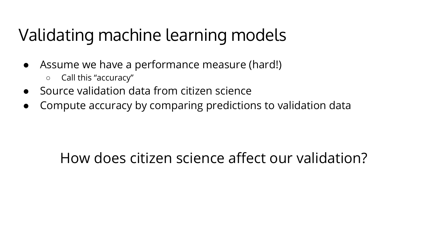# Validating machine learning models

- Assume we have a performance measure (hard!)
	- Call this "accuracy"
- Source validation data from citizen science
- Compute accuracy by comparing predictions to validation data

#### How does citizen science affect our validation?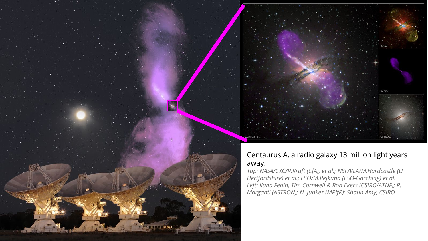



#### Centaurus A, a radio galaxy 13 million light years away.

*Top: NASA/CXC/R.Kraft (CfA), et al.; NSF/VLA/M.Hardcastle (U Hertfordshire) et al.; ESO/M.Rejkuba (ESO-Garching) et al. Left: Ilana Feain, Tim Cornwell & Ron Ekers (CSIRO/ATNF); R. Morganti (ASTRON); N. Junkes (MPIfR); Shaun Amy, CSIRO*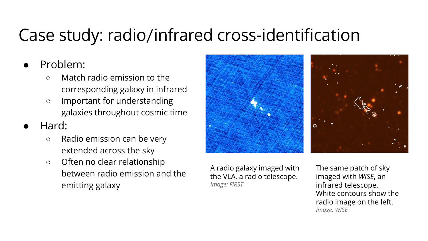### Case study: radio/infrared cross-identification

- Problem:
	- Match radio emission to the corresponding galaxy in infrared
	- Important for understanding galaxies throughout cosmic time
- Hard:
	- Radio emission can be very extended across the sky
	- Often no clear relationship between radio emission and the emitting galaxy



A radio galaxy imaged with the VLA, a radio telescope. *Image: FIRST*

The same patch of sky imaged with *WISE*, an infrared telescope. White contours show the radio image on the left. *Image: WISE*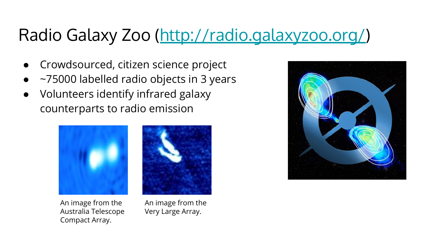# Radio Galaxy Zoo (<http://radio.galaxyzoo.org/>)

- Crowdsourced, citizen science project
- ~75000 labelled radio objects in 3 years
- Volunteers identify infrared galaxy counterparts to radio emission



An image from the Australia Telescope Compact Array.



An image from the Very Large Array.

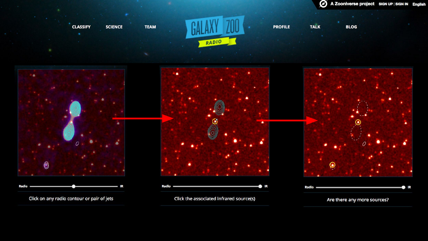$\mathcal O$  A Zooniverse project sign UP | Sign IN English

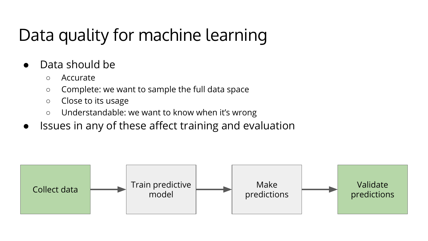# Data quality for machine learning

- Data should be
	- Accurate
	- Complete: we want to sample the full data space
	- Close to its usage
	- Understandable: we want to know when it's wrong
- Issues in any of these affect training and evaluation

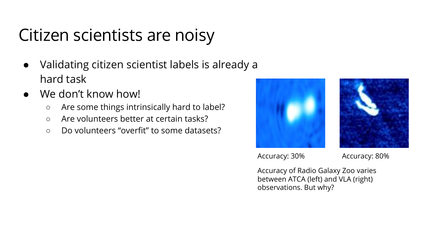### Citizen scientists are noisy

- Validating citizen scientist labels is already a hard task
- We don't know how!
	- Are some things intrinsically hard to label?
	- Are volunteers better at certain tasks?
	- Do volunteers "overfit" to some datasets?





Accuracy: 30% Accuracy: 80%

Accuracy of Radio Galaxy Zoo varies between ATCA (left) and VLA (right) observations. But why?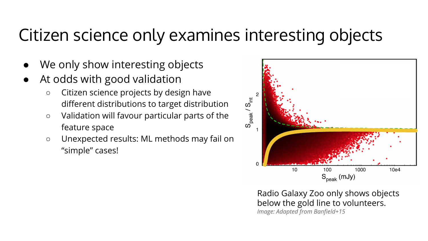#### Citizen science only examines interesting objects

- We only show interesting objects
- At odds with good validation
	- Citizen science projects by design have different distributions to target distribution
	- Validation will favour particular parts of the feature space
	- Unexpected results: ML methods may fail on "simple" cases!



Radio Galaxy Zoo only shows objects below the gold line to volunteers. *Image: Adapted from Banfield+15*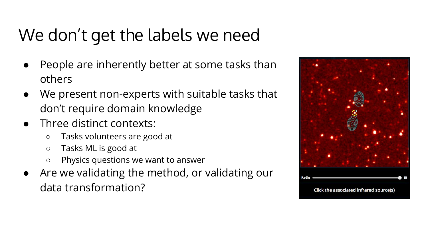# We don't get the labels we need

- People are inherently better at some tasks than others
- We present non-experts with suitable tasks that don't require domain knowledge
- Three distinct contexts:
	- Tasks volunteers are good at
	- Tasks ML is good at
	- Physics questions we want to answer
- Are we validating the method, or validating our data transformation?

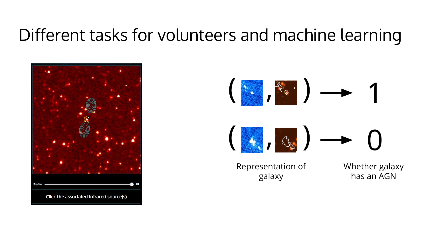#### Different tasks for volunteers and machine learning



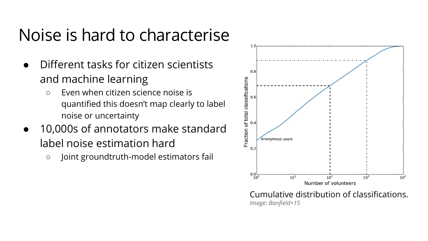#### Noise is hard to characterise

- Different tasks for citizen scientists and machine learning
	- Even when citizen science noise is quantified this doesn't map clearly to label noise or uncertainty
- 10,000s of annotators make standard label noise estimation hard
	- Joint groundtruth-model estimators fail



Cumulative distribution of classifications. *Image: Banfield+15*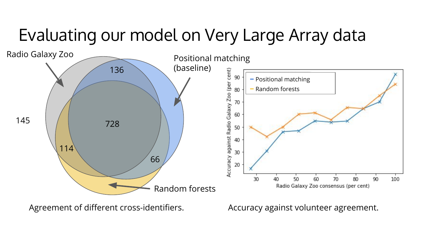#### Evaluating our model on Very Large Array data



Agreement of different cross-identifiers.

Accuracy against volunteer agreement.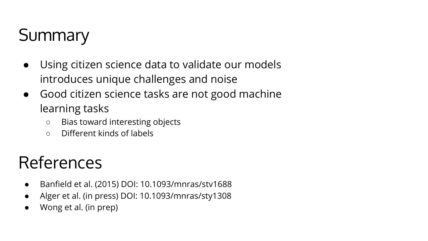# **Summary**

- Using citizen science data to validate our models introduces unique challenges and noise
- Good citizen science tasks are not good machine learning tasks
	- Bias toward interesting objects
	- Different kinds of labels

### References

- Banfield et al. (2015) DOI: 10.1093/mnras/stv1688
- Alger et al. (in press) DOI: 10.1093/mnras/sty1308
- Wong et al. (in prep)